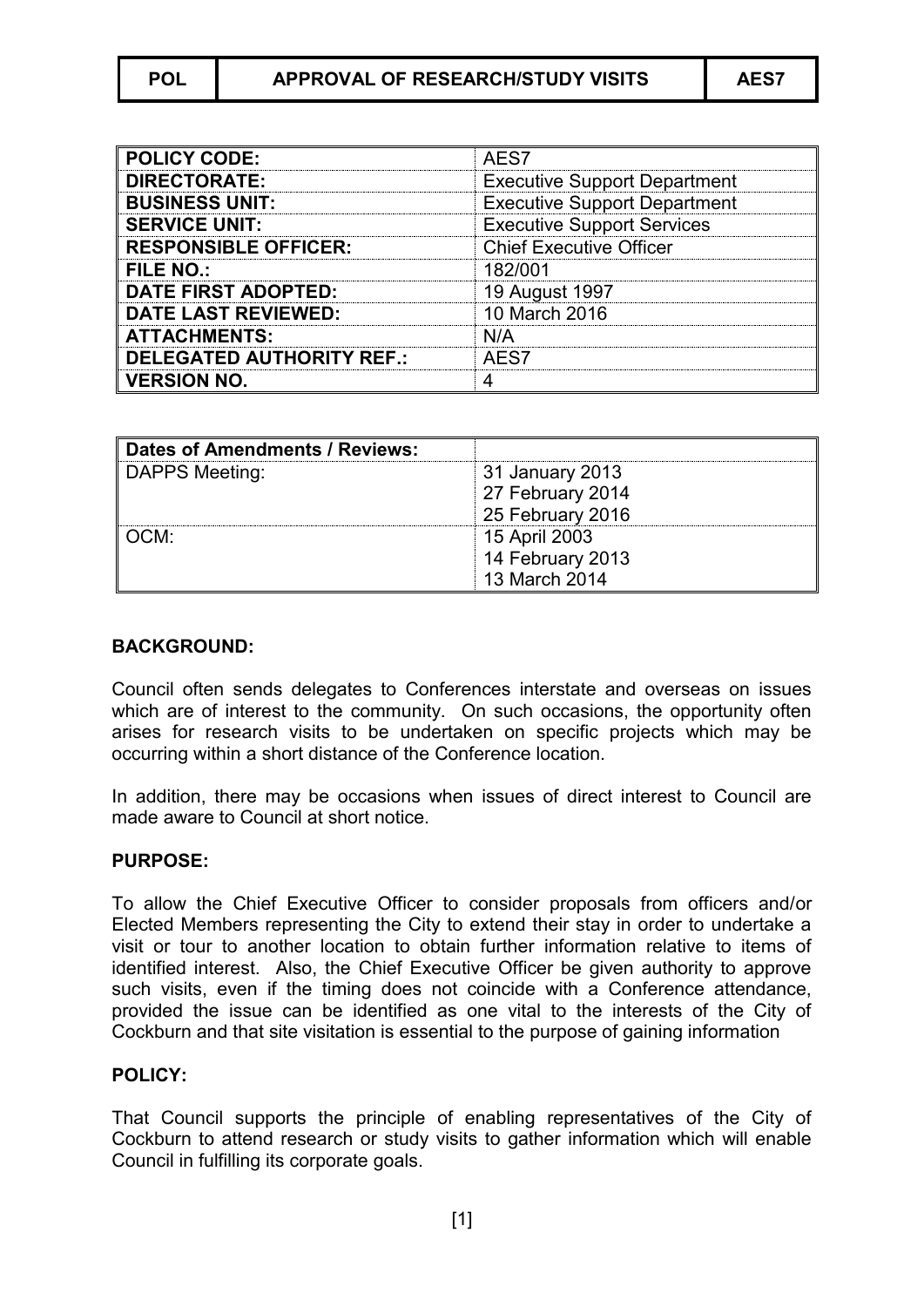| <b>POLICY CODE:</b>              | AES7                                |
|----------------------------------|-------------------------------------|
| <b>DIRECTORATE:</b>              | <b>Executive Support Department</b> |
| <b>BUSINESS UNIT:</b>            | <b>Executive Support Department</b> |
| <b>SERVICE UNIT:</b>             | <b>Executive Support Services</b>   |
| <b>RESPONSIBLE OFFICER:</b>      | <b>Chief Executive Officer</b>      |
| <b>FILE NO.:</b>                 | 182/001                             |
| <b>DATE FIRST ADOPTED:</b>       | 19 August 1997                      |
| <b>DATE LAST REVIEWED:</b>       | 10 March 2016                       |
| <b>ATTACHMENTS:</b>              | N/A                                 |
| <b>DELEGATED AUTHORITY REF.:</b> | AES7                                |
| <b>VERSION NO.</b>               |                                     |

| <b>Dates of Amendments / Reviews:</b> |                  |
|---------------------------------------|------------------|
| <b>DAPPS Meeting:</b>                 | 31 January 2013  |
|                                       | 27 February 2014 |
|                                       | 25 February 2016 |
| OCM:                                  | 15 April 2003    |
|                                       | 14 February 2013 |
|                                       | 13 March 2014    |

## **BACKGROUND:**

Council often sends delegates to Conferences interstate and overseas on issues which are of interest to the community. On such occasions, the opportunity often arises for research visits to be undertaken on specific projects which may be occurring within a short distance of the Conference location.

In addition, there may be occasions when issues of direct interest to Council are made aware to Council at short notice.

## **PURPOSE:**

To allow the Chief Executive Officer to consider proposals from officers and/or Elected Members representing the City to extend their stay in order to undertake a visit or tour to another location to obtain further information relative to items of identified interest. Also, the Chief Executive Officer be given authority to approve such visits, even if the timing does not coincide with a Conference attendance, provided the issue can be identified as one vital to the interests of the City of Cockburn and that site visitation is essential to the purpose of gaining information

## **POLICY:**

That Council supports the principle of enabling representatives of the City of Cockburn to attend research or study visits to gather information which will enable Council in fulfilling its corporate goals.